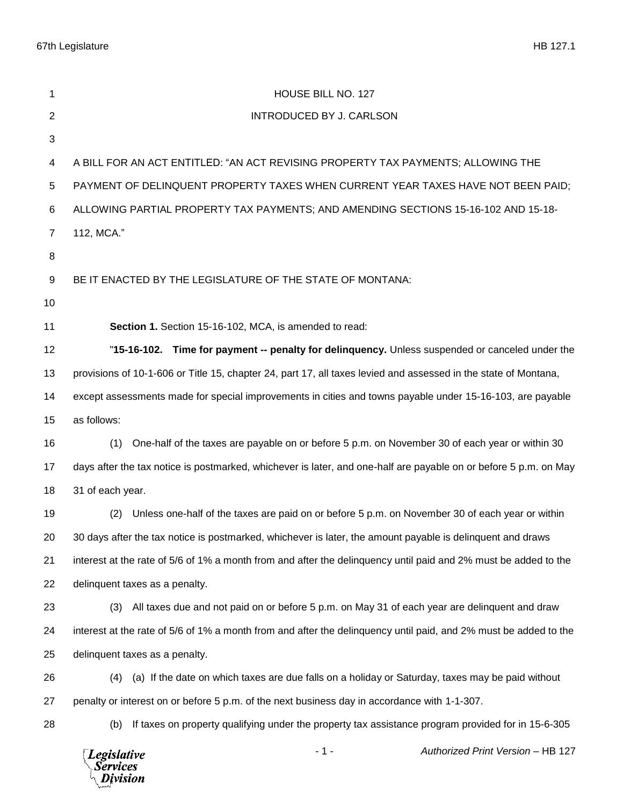67th Legislature HB 127.1

 $\sqrt{D}$ *ivision* 

| 1              | HOUSE BILL NO. 127                                                                                               |
|----------------|------------------------------------------------------------------------------------------------------------------|
| $\overline{2}$ | <b>INTRODUCED BY J. CARLSON</b>                                                                                  |
| 3              |                                                                                                                  |
| 4              | A BILL FOR AN ACT ENTITLED: "AN ACT REVISING PROPERTY TAX PAYMENTS; ALLOWING THE                                 |
| 5              | PAYMENT OF DELINQUENT PROPERTY TAXES WHEN CURRENT YEAR TAXES HAVE NOT BEEN PAID;                                 |
| 6              | ALLOWING PARTIAL PROPERTY TAX PAYMENTS; AND AMENDING SECTIONS 15-16-102 AND 15-18-                               |
| 7              | 112, MCA."                                                                                                       |
| 8              |                                                                                                                  |
| 9              | BE IT ENACTED BY THE LEGISLATURE OF THE STATE OF MONTANA:                                                        |
| 10             |                                                                                                                  |
| 11             | Section 1. Section 15-16-102, MCA, is amended to read:                                                           |
| 12             | "15-16-102. Time for payment -- penalty for delinquency. Unless suspended or canceled under the                  |
| 13             | provisions of 10-1-606 or Title 15, chapter 24, part 17, all taxes levied and assessed in the state of Montana,  |
| 14             | except assessments made for special improvements in cities and towns payable under 15-16-103, are payable        |
| 15             | as follows:                                                                                                      |
| 16             | One-half of the taxes are payable on or before 5 p.m. on November 30 of each year or within 30<br>(1)            |
| 17             | days after the tax notice is postmarked, whichever is later, and one-half are payable on or before 5 p.m. on May |
| 18             | 31 of each year.                                                                                                 |
| 19             | Unless one-half of the taxes are paid on or before 5 p.m. on November 30 of each year or within<br>(2)           |
| 20             | 30 days after the tax notice is postmarked, whichever is later, the amount payable is delinquent and draws       |
| 21             | interest at the rate of 5/6 of 1% a month from and after the delinquency until paid and 2% must be added to the  |
| 22             | delinquent taxes as a penalty.                                                                                   |
| 23             | All taxes due and not paid on or before 5 p.m. on May 31 of each year are delinguent and draw<br>(3)             |
| 24             | interest at the rate of 5/6 of 1% a month from and after the delinguency until paid, and 2% must be added to the |
| 25             | delinquent taxes as a penalty.                                                                                   |
| 26             | (a) If the date on which taxes are due falls on a holiday or Saturday, taxes may be paid without<br>(4)          |
| 27             | penalty or interest on or before 5 p.m. of the next business day in accordance with 1-1-307.                     |
| 28             | If taxes on property qualifying under the property tax assistance program provided for in 15-6-305<br>(b)        |
|                | Authorized Print Version - HB 127<br>$-1-$<br>Legislative<br><b>Services</b>                                     |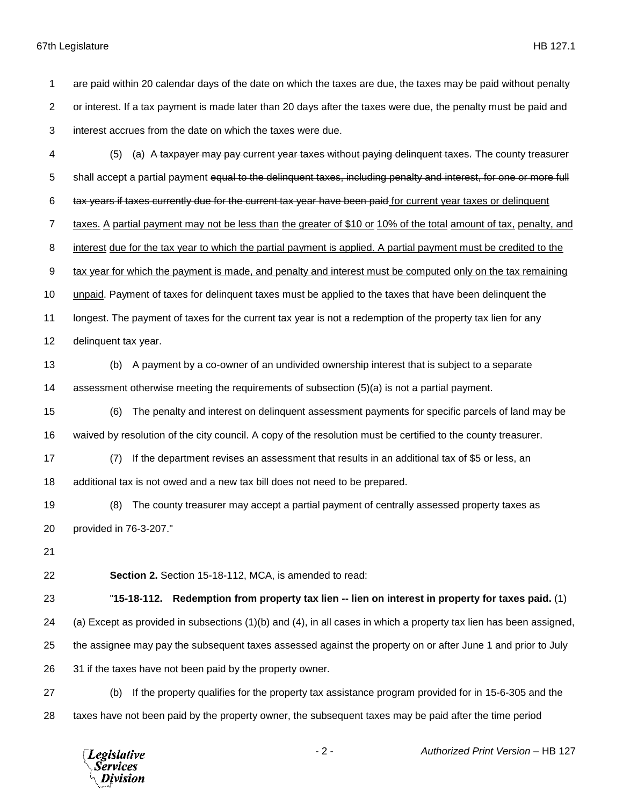## 67th Legislature HB 127.1

 are paid within 20 calendar days of the date on which the taxes are due, the taxes may be paid without penalty or interest. If a tax payment is made later than 20 days after the taxes were due, the penalty must be paid and interest accrues from the date on which the taxes were due.

- (5) (a) A taxpayer may pay current year taxes without paying delinquent taxes. The county treasurer 5 shall accept a partial payment equal to the delinquent taxes, including penalty and interest, for one or more full tax years if taxes currently due for the current tax year have been paid for current year taxes or delinquent taxes. A partial payment may not be less than the greater of \$10 or 10% of the total amount of tax, penalty, and interest due for the tax year to which the partial payment is applied. A partial payment must be credited to the tax year for which the payment is made, and penalty and interest must be computed only on the tax remaining unpaid. Payment of taxes for delinquent taxes must be applied to the taxes that have been delinquent the longest. The payment of taxes for the current tax year is not a redemption of the property tax lien for any delinquent tax year. (b) A payment by a co-owner of an undivided ownership interest that is subject to a separate assessment otherwise meeting the requirements of subsection (5)(a) is not a partial payment. (6) The penalty and interest on delinquent assessment payments for specific parcels of land may be waived by resolution of the city council. A copy of the resolution must be certified to the county treasurer. (7) If the department revises an assessment that results in an additional tax of \$5 or less, an additional tax is not owed and a new tax bill does not need to be prepared. (8) The county treasurer may accept a partial payment of centrally assessed property taxes as provided in 76-3-207." **Section 2.** Section 15-18-112, MCA, is amended to read: "**15-18-112. Redemption from property tax lien -- lien on interest in property for taxes paid.** (1) (a) Except as provided in subsections (1)(b) and (4), in all cases in which a property tax lien has been assigned, the assignee may pay the subsequent taxes assessed against the property on or after June 1 and prior to July 31 if the taxes have not been paid by the property owner. (b) If the property qualifies for the property tax assistance program provided for in 15-6-305 and the
- taxes have not been paid by the property owner, the subsequent taxes may be paid after the time period